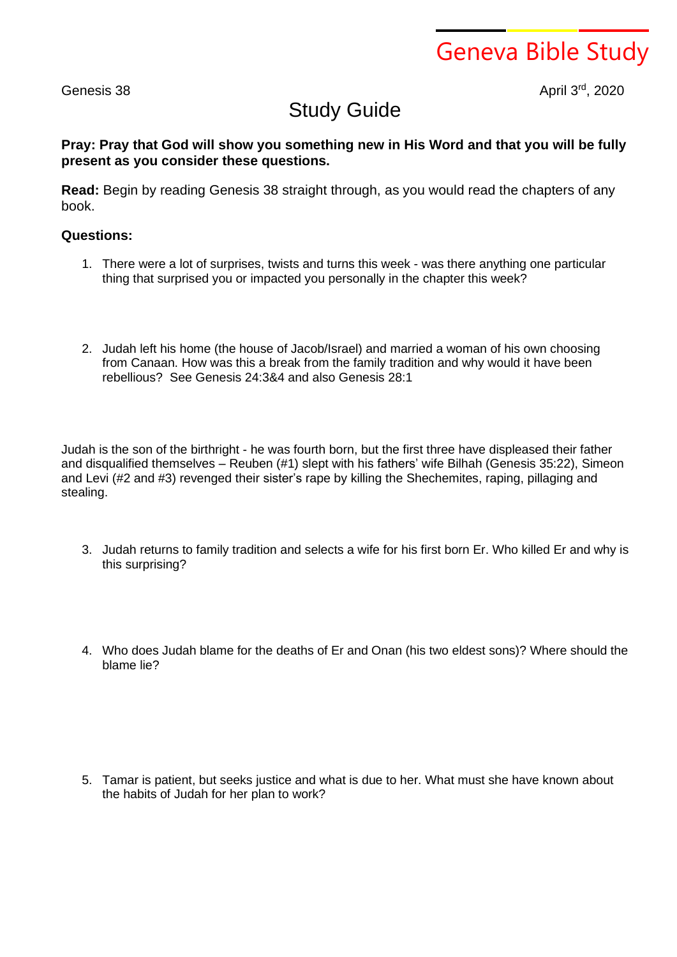Geneva Bible Study

Genesis 38

rd , 2020

## Study Guide

## **Pray: Pray that God will show you something new in His Word and that you will be fully present as you consider these questions.**

**Read:** Begin by reading Genesis 38 straight through, as you would read the chapters of any book.

## **Questions:**

- 1. There were a lot of surprises, twists and turns this week was there anything one particular thing that surprised you or impacted you personally in the chapter this week?
- 2. Judah left his home (the house of Jacob/Israel) and married a woman of his own choosing from Canaan. How was this a break from the family tradition and why would it have been rebellious? See Genesis 24:3&4 and also Genesis 28:1

Judah is the son of the birthright - he was fourth born, but the first three have displeased their father and disqualified themselves – Reuben (#1) slept with his fathers' wife Bilhah (Genesis 35:22), Simeon and Levi (#2 and #3) revenged their sister's rape by killing the Shechemites, raping, pillaging and stealing.

- 3. Judah returns to family tradition and selects a wife for his first born Er. Who killed Er and why is this surprising?
- 4. Who does Judah blame for the deaths of Er and Onan (his two eldest sons)? Where should the blame lie?

5. Tamar is patient, but seeks justice and what is due to her. What must she have known about the habits of Judah for her plan to work?